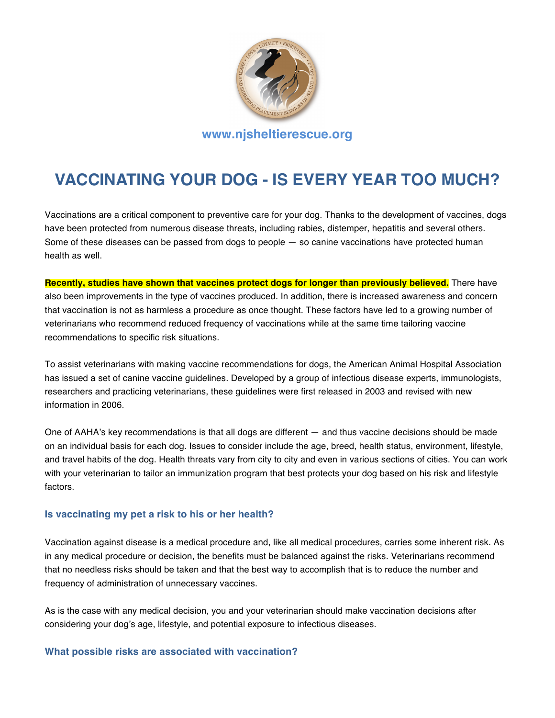

# **VACCINATING YOUR DOG - IS EVERY YEAR TOO MUCH?**

Vaccinations are a critical component to preventive care for your dog. Thanks to the development of vaccines, dogs have been protected from numerous disease threats, including rabies, distemper, hepatitis and several others. Some of these diseases can be passed from dogs to people — so canine vaccinations have protected human health as well.

**Recently, studies have shown that vaccines protect dogs for longer than previously believed.** There have also been improvements in the type of vaccines produced. In addition, there is increased awareness and concern that vaccination is not as harmless a procedure as once thought. These factors have led to a growing number of veterinarians who recommend reduced frequency of vaccinations while at the same time tailoring vaccine recommendations to specific risk situations.

To assist veterinarians with making vaccine recommendations for dogs, the American Animal Hospital Association has issued a set of canine vaccine guidelines. Developed by a group of infectious disease experts, immunologists, researchers and practicing veterinarians, these guidelines were first released in 2003 and revised with new information in 2006.

One of AAHA's key recommendations is that all dogs are different — and thus vaccine decisions should be made on an individual basis for each dog. Issues to consider include the age, breed, health status, environment, lifestyle, and travel habits of the dog. Health threats vary from city to city and even in various sections of cities. You can work with your veterinarian to tailor an immunization program that best protects your dog based on his risk and lifestyle factors.

# **Is vaccinating my pet a risk to his or her health?**

Vaccination against disease is a medical procedure and, like all medical procedures, carries some inherent risk. As in any medical procedure or decision, the benefits must be balanced against the risks. Veterinarians recommend that no needless risks should be taken and that the best way to accomplish that is to reduce the number and frequency of administration of unnecessary vaccines.

As is the case with any medical decision, you and your veterinarian should make vaccination decisions after considering your dog's age, lifestyle, and potential exposure to infectious diseases.

### **What possible risks are associated with vaccination?**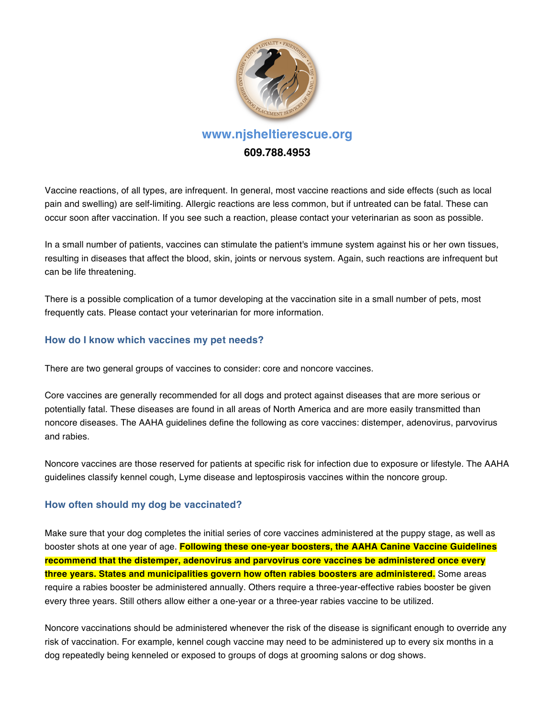

Vaccine reactions, of all types, are infrequent. In general, most vaccine reactions and side effects (such as local pain and swelling) are self-limiting. Allergic reactions are less common, but if untreated can be fatal. These can occur soon after vaccination. If you see such a reaction, please contact your veterinarian as soon as possible.

In a small number of patients, vaccines can stimulate the patient's immune system against his or her own tissues, resulting in diseases that affect the blood, skin, joints or nervous system. Again, such reactions are infrequent but can be life threatening.

There is a possible complication of a tumor developing at the vaccination site in a small number of pets, most frequently cats. Please contact your veterinarian for more information.

# **How do I know which vaccines my pet needs?**

There are two general groups of vaccines to consider: core and noncore vaccines.

Core vaccines are generally recommended for all dogs and protect against diseases that are more serious or potentially fatal. These diseases are found in all areas of North America and are more easily transmitted than noncore diseases. The AAHA guidelines define the following as core vaccines: distemper, adenovirus, parvovirus and rabies.

Noncore vaccines are those reserved for patients at specific risk for infection due to exposure or lifestyle. The AAHA guidelines classify kennel cough, Lyme disease and leptospirosis vaccines within the noncore group.

# **How often should my dog be vaccinated?**

Make sure that your dog completes the initial series of core vaccines administered at the puppy stage, as well as booster shots at one year of age. **Following these one-year boosters, the AAHA Canine Vaccine Guidelines recommend that the distemper, adenovirus and parvovirus core vaccines be administered once every three years. States and municipalities govern how often rabies boosters are administered.** Some areas require a rabies booster be administered annually. Others require a three-year-effective rabies booster be given every three years. Still others allow either a one-year or a three-year rabies vaccine to be utilized.

Noncore vaccinations should be administered whenever the risk of the disease is significant enough to override any risk of vaccination. For example, kennel cough vaccine may need to be administered up to every six months in a dog repeatedly being kenneled or exposed to groups of dogs at grooming salons or dog shows.